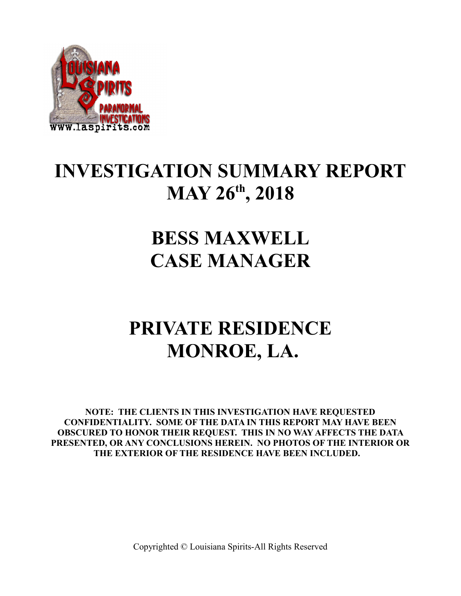

## **INVESTIGATION SUMMARY REPORT MAY 26th, 2018**

## **BESS MAXWELL CASE MANAGER**

## **PRIVATE RESIDENCE MONROE, LA.**

**NOTE: THE CLIENTS IN THIS INVESTIGATION HAVE REQUESTED CONFIDENTIALITY. SOME OF THE DATA IN THIS REPORT MAY HAVE BEEN OBSCURED TO HONOR THEIR REQUEST. THIS IN NO WAY AFFECTS THE DATA PRESENTED, OR ANY CONCLUSIONS HEREIN. NO PHOTOS OF THE INTERIOR OR THE EXTERIOR OF THE RESIDENCE HAVE BEEN INCLUDED.**

Copyrighted © Louisiana Spirits-All Rights Reserved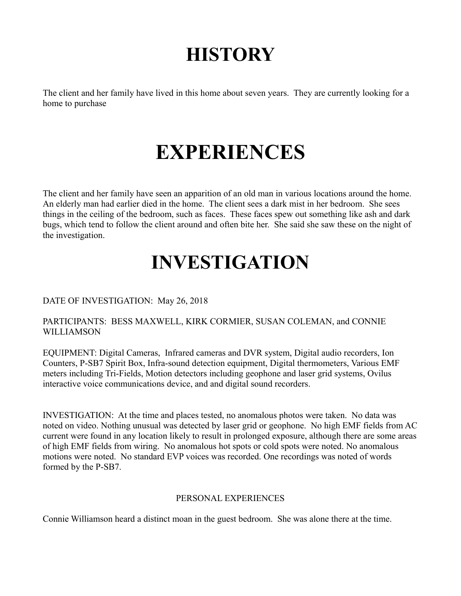# **HISTORY**

The client and her family have lived in this home about seven years. They are currently looking for a home to purchase

# **EXPERIENCES**

The client and her family have seen an apparition of an old man in various locations around the home. An elderly man had earlier died in the home. The client sees a dark mist in her bedroom. She sees things in the ceiling of the bedroom, such as faces. These faces spew out something like ash and dark bugs, which tend to follow the client around and often bite her. She said she saw these on the night of the investigation.

# **INVESTIGATION**

#### DATE OF INVESTIGATION: May 26, 2018

#### PARTICIPANTS: BESS MAXWELL, KIRK CORMIER, SUSAN COLEMAN, and CONNIE WILLIAMSON

EQUIPMENT: Digital Cameras, Infrared cameras and DVR system, Digital audio recorders, Ion Counters, P-SB7 Spirit Box, Infra-sound detection equipment, Digital thermometers, Various EMF meters including Tri-Fields, Motion detectors including geophone and laser grid systems, Ovilus interactive voice communications device, and and digital sound recorders.

INVESTIGATION: At the time and places tested, no anomalous photos were taken. No data was noted on video. Nothing unusual was detected by laser grid or geophone. No high EMF fields from AC current were found in any location likely to result in prolonged exposure, although there are some areas of high EMF fields from wiring. No anomalous hot spots or cold spots were noted. No anomalous motions were noted. No standard EVP voices was recorded. One recordings was noted of words formed by the P-SB7.

#### PERSONAL EXPERIENCES

Connie Williamson heard a distinct moan in the guest bedroom. She was alone there at the time.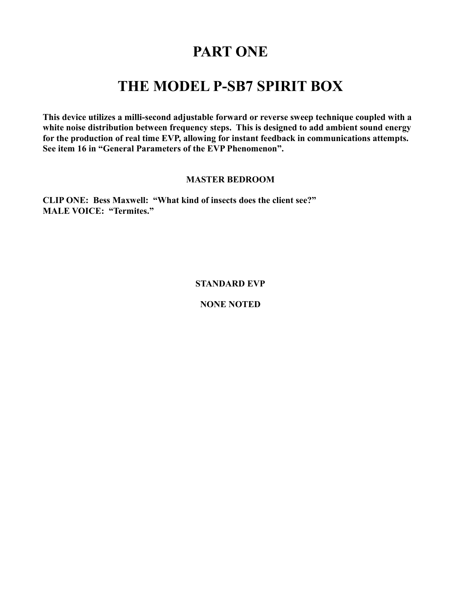### **PART ONE**

### **THE MODEL P-SB7 SPIRIT BOX**

**This device utilizes a milli-second adjustable forward or reverse sweep technique coupled with a white noise distribution between frequency steps. This is designed to add ambient sound energy for the production of real time EVP, allowing for instant feedback in communications attempts. See item 16 in "General Parameters of the EVP Phenomenon".** 

#### **MASTER BEDROOM**

**CLIP ONE: Bess Maxwell: "What kind of insects does the client see?" MALE VOICE: "Termites."**

**STANDARD EVP**

**NONE NOTED**